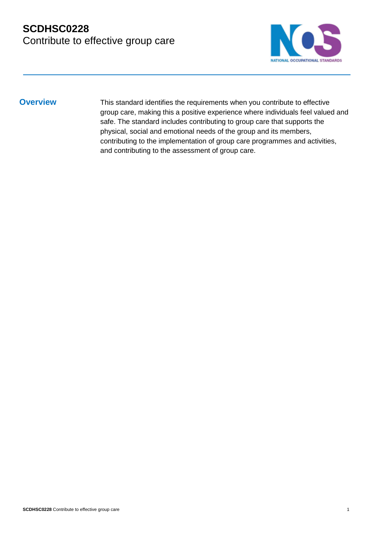## **SCDHSC0228**  Contribute to effective group care



**Overview** This standard identifies the requirements when you contribute to effective group care, making this a positive experience where individuals feel valued and safe. The standard includes contributing to group care that supports the physical, social and emotional needs of the group and its members, contributing to the implementation of group care programmes and activities, and contributing to the assessment of group care.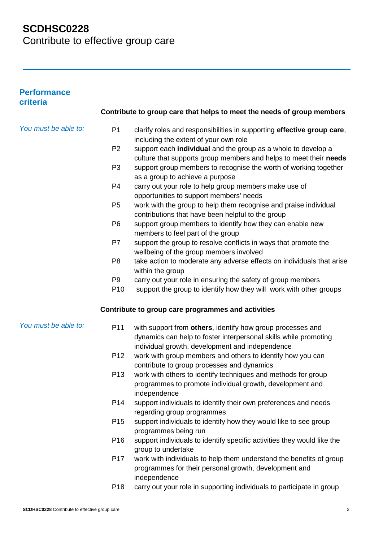Contribute to effective group care

| <b>Performance</b><br>criteria |                                   |                                                                                                                                                                                   |
|--------------------------------|-----------------------------------|-----------------------------------------------------------------------------------------------------------------------------------------------------------------------------------|
|                                |                                   | Contribute to group care that helps to meet the needs of group members                                                                                                            |
| You must be able to:           | P <sub>1</sub>                    | clarify roles and responsibilities in supporting effective group care,<br>including the extent of your own role                                                                   |
|                                | P <sub>2</sub>                    | support each individual and the group as a whole to develop a<br>culture that supports group members and helps to meet their needs                                                |
|                                | P <sub>3</sub>                    | support group members to recognise the worth of working together<br>as a group to achieve a purpose                                                                               |
|                                | P <sub>4</sub>                    | carry out your role to help group members make use of<br>opportunities to support members' needs                                                                                  |
|                                | P <sub>5</sub>                    | work with the group to help them recognise and praise individual<br>contributions that have been helpful to the group                                                             |
|                                | P <sub>6</sub>                    | support group members to identify how they can enable new<br>members to feel part of the group                                                                                    |
|                                | P7                                | support the group to resolve conflicts in ways that promote the<br>wellbeing of the group members involved                                                                        |
|                                | P <sub>8</sub>                    | take action to moderate any adverse effects on individuals that arise<br>within the group                                                                                         |
|                                | P <sub>9</sub><br>P <sub>10</sub> | carry out your role in ensuring the safety of group members<br>support the group to identify how they will work with other groups                                                 |
|                                |                                   | Contribute to group care programmes and activities                                                                                                                                |
| You must be able to:           | P11                               | with support from others, identify how group processes and<br>dynamics can help to foster interpersonal skills while promoting<br>individual growth, development and independence |
|                                | P <sub>12</sub>                   | work with group members and others to identify how you can<br>contribute to group processes and dynamics                                                                          |
|                                | P <sub>13</sub>                   | work with others to identify techniques and methods for group<br>programmes to promote individual growth, development and<br>independence                                         |
|                                | P <sub>14</sub>                   | support individuals to identify their own preferences and needs<br>regarding group programmes                                                                                     |
|                                | P <sub>15</sub>                   | support individuals to identify how they would like to see group<br>programmes being run                                                                                          |
|                                | P <sub>16</sub>                   | support individuals to identify specific activities they would like the<br>group to undertake                                                                                     |
|                                | P <sub>17</sub>                   | work with individuals to help them understand the benefits of group<br>programmes for their personal growth, development and<br>independence                                      |
|                                |                                   |                                                                                                                                                                                   |

P18 carry out your role in supporting individuals to participate in group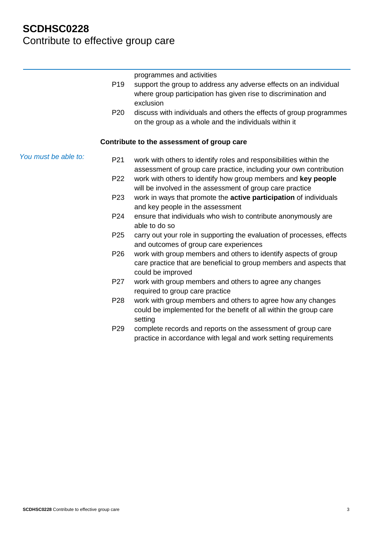## **SCDHSC0228**  Contribute to effective group care

*You must be able to:* programmes and activities P19 support the group to address any adverse effects on an individual where group participation has given rise to discrimination and exclusion P20 discuss with individuals and others the effects of group programmes on the group as a whole and the individuals within it **Contribute to the assessment of group care** P21 work with others to identify roles and responsibilities within the assessment of group care practice, including your own contribution P22 work with others to identify how group members and **key people** will be involved in the assessment of group care practice P23 work in ways that promote the **active participation** of individuals and key people in the assessment P24 ensure that individuals who wish to contribute anonymously are able to do so P25 carry out your role in supporting the evaluation of processes, effects and outcomes of group care experiences P26 work with group members and others to identify aspects of group care practice that are beneficial to group members and aspects that could be improved P27 work with group members and others to agree any changes required to group care practice P28 work with group members and others to agree how any changes could be implemented for the benefit of all within the group care setting P29 complete records and reports on the assessment of group care practice in accordance with legal and work setting requirements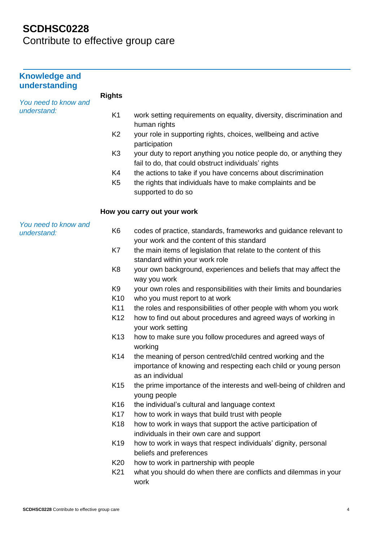| <b>Knowledge and</b><br>understanding |                 |                                                                                                                                                    |
|---------------------------------------|-----------------|----------------------------------------------------------------------------------------------------------------------------------------------------|
|                                       | <b>Rights</b>   |                                                                                                                                                    |
| You need to know and<br>understand:   | K <sub>1</sub>  | work setting requirements on equality, diversity, discrimination and                                                                               |
|                                       | K <sub>2</sub>  | human rights<br>your role in supporting rights, choices, wellbeing and active<br>participation                                                     |
|                                       | K <sub>3</sub>  | your duty to report anything you notice people do, or anything they<br>fail to do, that could obstruct individuals' rights                         |
|                                       | K4              | the actions to take if you have concerns about discrimination                                                                                      |
|                                       | K <sub>5</sub>  | the rights that individuals have to make complaints and be<br>supported to do so                                                                   |
|                                       |                 | How you carry out your work                                                                                                                        |
| You need to know and<br>understand:   | K <sub>6</sub>  | codes of practice, standards, frameworks and guidance relevant to<br>your work and the content of this standard                                    |
|                                       | K7              | the main items of legislation that relate to the content of this                                                                                   |
|                                       |                 | standard within your work role                                                                                                                     |
|                                       | K <sub>8</sub>  | your own background, experiences and beliefs that may affect the<br>way you work                                                                   |
|                                       | K <sub>9</sub>  | your own roles and responsibilities with their limits and boundaries                                                                               |
|                                       | K10             | who you must report to at work                                                                                                                     |
|                                       | K11             | the roles and responsibilities of other people with whom you work                                                                                  |
|                                       | K <sub>12</sub> | how to find out about procedures and agreed ways of working in<br>your work setting                                                                |
|                                       | K <sub>13</sub> | how to make sure you follow procedures and agreed ways of<br>working                                                                               |
|                                       | K14             | the meaning of person centred/child centred working and the<br>importance of knowing and respecting each child or young person<br>as an individual |
|                                       | K <sub>15</sub> | the prime importance of the interests and well-being of children and<br>young people                                                               |
|                                       | K <sub>16</sub> | the individual's cultural and language context                                                                                                     |
|                                       | K17             | how to work in ways that build trust with people                                                                                                   |
|                                       | K <sub>18</sub> | how to work in ways that support the active participation of<br>individuals in their own care and support                                          |
|                                       | K <sub>19</sub> | how to work in ways that respect individuals' dignity, personal<br>beliefs and preferences                                                         |
|                                       | K20             | how to work in partnership with people                                                                                                             |
|                                       | K21             | what you should do when there are conflicts and dilemmas in your<br>work                                                                           |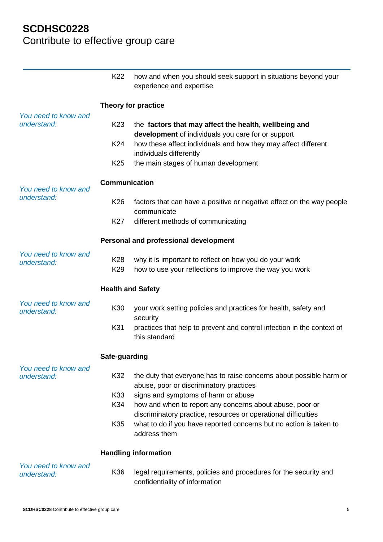|                                     | K <sub>22</sub>          | how and when you should seek support in situations beyond your<br>experience and expertise                                                           |  |
|-------------------------------------|--------------------------|------------------------------------------------------------------------------------------------------------------------------------------------------|--|
|                                     | Theory for practice      |                                                                                                                                                      |  |
| You need to know and<br>understand: | K <sub>23</sub>          | the factors that may affect the health, wellbeing and<br>development of individuals you care for or support                                          |  |
|                                     | K24                      | how these affect individuals and how they may affect different<br>individuals differently                                                            |  |
|                                     | K <sub>25</sub>          | the main stages of human development                                                                                                                 |  |
| You need to know and                | <b>Communication</b>     |                                                                                                                                                      |  |
| understand:                         | K <sub>26</sub>          | factors that can have a positive or negative effect on the way people<br>communicate                                                                 |  |
|                                     | K27                      | different methods of communicating                                                                                                                   |  |
|                                     |                          | Personal and professional development                                                                                                                |  |
| You need to know and<br>understand: | K28<br>K <sub>29</sub>   | why it is important to reflect on how you do your work<br>how to use your reflections to improve the way you work                                    |  |
|                                     | <b>Health and Safety</b> |                                                                                                                                                      |  |
| You need to know and<br>understand: | K30                      | your work setting policies and practices for health, safety and<br>security                                                                          |  |
|                                     | K31                      | practices that help to prevent and control infection in the context of<br>this standard                                                              |  |
|                                     | Safe-guarding            |                                                                                                                                                      |  |
| You need to know and<br>understand: | K32                      | the duty that everyone has to raise concerns about possible harm or<br>abuse, poor or discriminatory practices                                       |  |
|                                     | K33<br>K34               | signs and symptoms of harm or abuse<br>how and when to report any concerns about abuse, poor or                                                      |  |
|                                     | K35                      | discriminatory practice, resources or operational difficulties<br>what to do if you have reported concerns but no action is taken to<br>address them |  |
|                                     |                          | <b>Handling information</b>                                                                                                                          |  |
| You need to know and<br>understand: | K36                      | legal requirements, policies and procedures for the security and<br>confidentiality of information                                                   |  |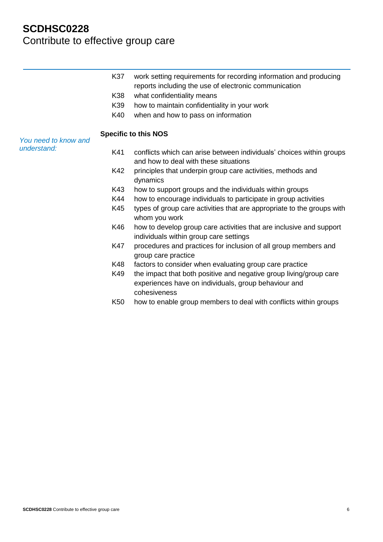|                                     | K37             | work setting requirements for recording information and producing<br>reports including the use of electronic communication                 |
|-------------------------------------|-----------------|--------------------------------------------------------------------------------------------------------------------------------------------|
|                                     | K38             | what confidentiality means                                                                                                                 |
|                                     | K39             | how to maintain confidentiality in your work                                                                                               |
|                                     | K40             | when and how to pass on information                                                                                                        |
|                                     |                 | <b>Specific to this NOS</b>                                                                                                                |
| You need to know and<br>understand: |                 |                                                                                                                                            |
|                                     | K41             | conflicts which can arise between individuals' choices within groups<br>and how to deal with these situations                              |
|                                     | K42             | principles that underpin group care activities, methods and<br>dynamics                                                                    |
|                                     | K43             | how to support groups and the individuals within groups                                                                                    |
|                                     | K44             | how to encourage individuals to participate in group activities                                                                            |
|                                     | K45             | types of group care activities that are appropriate to the groups with<br>whom you work                                                    |
|                                     | K46             | how to develop group care activities that are inclusive and support<br>individuals within group care settings                              |
|                                     | K47             | procedures and practices for inclusion of all group members and<br>group care practice                                                     |
|                                     | K48             | factors to consider when evaluating group care practice                                                                                    |
|                                     | K49             | the impact that both positive and negative group living/group care<br>experiences have on individuals, group behaviour and<br>cohesiveness |
|                                     | K <sub>50</sub> | how to enable group members to deal with conflicts within groups                                                                           |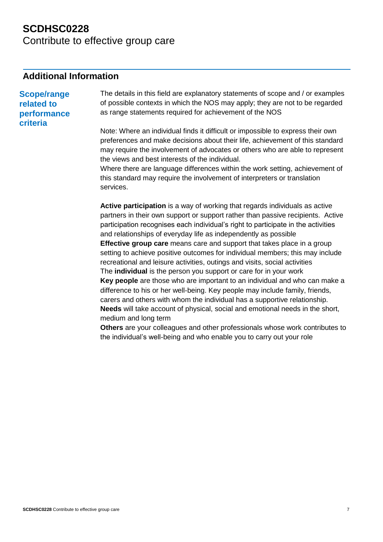Contribute to effective group care

#### **Additional Information**

**Scope/range related to performance criteria** The details in this field are explanatory statements of scope and / or examples of possible contexts in which the NOS may apply; they are not to be regarded as range statements required for achievement of the NOS Note: Where an individual finds it difficult or impossible to express their own preferences and make decisions about their life, achievement of this standard may require the involvement of advocates or others who are able to represent the views and best interests of the individual. Where there are language differences within the work setting, achievement of this standard may require the involvement of interpreters or translation services. **Active participation** is a way of working that regards individuals as active partners in their own support or support rather than passive recipients. Active participation recognises each individual's right to participate in the activities

> and relationships of everyday life as independently as possible **Effective group care** means care and support that takes place in a group setting to achieve positive outcomes for individual members; this may include recreational and leisure activities, outings and visits, social activities The **individual** is the person you support or care for in your work **Key people** are those who are important to an individual and who can make a

difference to his or her well-being. Key people may include family, friends, carers and others with whom the individual has a supportive relationship. **Needs** will take account of physical, social and emotional needs in the short, medium and long term

**Others** are your colleagues and other professionals whose work contributes to the individual's well-being and who enable you to carry out your role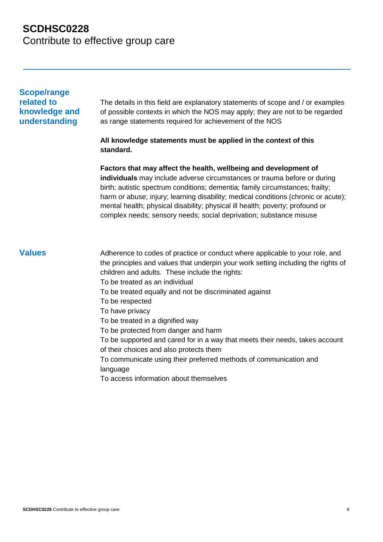### **SCDHSC0228**  Contribute to effective group care

#### **Scope/range related to knowledge and understanding**

The details in this field are explanatory statements of scope and / or examples of possible contexts in which the NOS may apply; they are not to be regarded as range statements required for achievement of the NOS

#### **All knowledge statements must be applied in the context of this standard.**

**Factors that may affect the health, wellbeing and development of individuals** may include adverse circumstances or trauma before or during birth; autistic spectrum conditions; dementia; family circumstances; frailty; harm or abuse; injury; learning disability; medical conditions (chronic or acute); mental health; physical disability; physical ill health; poverty; profound or complex needs; sensory needs; social deprivation; substance misuse

- **Values** Adherence to codes of practice or conduct where applicable to your role, and the principles and values that underpin your work setting including the rights of children and adults. These include the rights:
	- To be treated as an individual
	- To be treated equally and not be discriminated against
	- To be respected
	- To have privacy
	- To be treated in a dignified way
	- To be protected from danger and harm
	- To be supported and cared for in a way that meets their needs, takes account of their choices and also protects them
	- To communicate using their preferred methods of communication and language
	- To access information about themselves